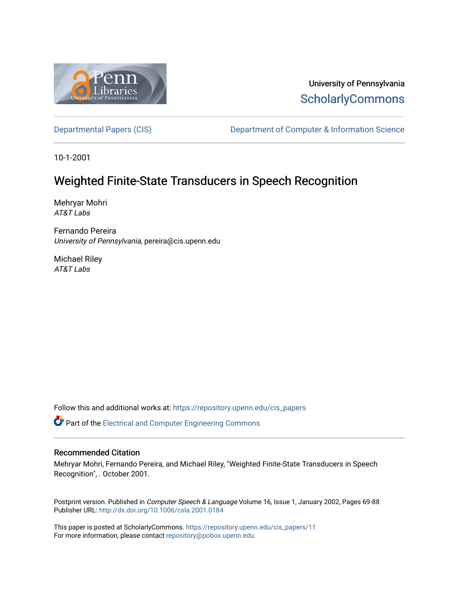

University of Pennsylvania **ScholarlyCommons** 

[Departmental Papers \(CIS\)](https://repository.upenn.edu/cis_papers) Department of Computer & Information Science

10-1-2001

# Weighted Finite-State Transducers in Speech Recognition

Mehryar Mohri AT&T Labs

Fernando Pereira University of Pennsylvania, pereira@cis.upenn.edu

Michael Riley AT&T Labs

Follow this and additional works at: [https://repository.upenn.edu/cis\\_papers](https://repository.upenn.edu/cis_papers?utm_source=repository.upenn.edu%2Fcis_papers%2F11&utm_medium=PDF&utm_campaign=PDFCoverPages)

Part of the [Electrical and Computer Engineering Commons](http://network.bepress.com/hgg/discipline/266?utm_source=repository.upenn.edu%2Fcis_papers%2F11&utm_medium=PDF&utm_campaign=PDFCoverPages) 

# Recommended Citation

Mehryar Mohri, Fernando Pereira, and Michael Riley, "Weighted Finite-State Transducers in Speech Recognition", . October 2001.

Postprint version. Published in Computer Speech & Language Volume 16, Issue 1, January 2002, Pages 69-88 Publisher URL:<http://dx.doi.org/10.1006/csla.2001.0184>

This paper is posted at ScholarlyCommons. [https://repository.upenn.edu/cis\\_papers/11](https://repository.upenn.edu/cis_papers/11)  For more information, please contact [repository@pobox.upenn.edu.](mailto:repository@pobox.upenn.edu)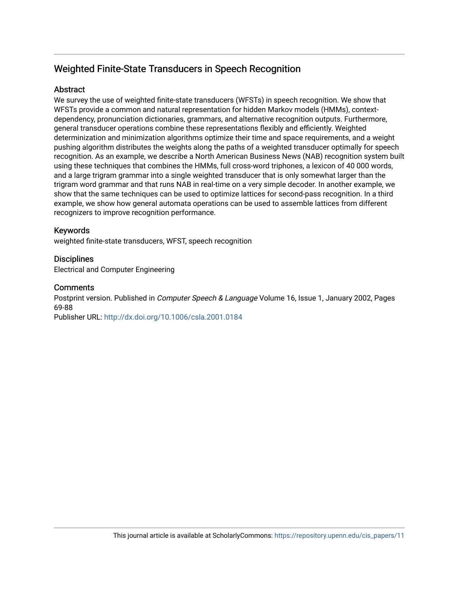# Weighted Finite-State Transducers in Speech Recognition

# **Abstract**

We survey the use of weighted finite-state transducers (WFSTs) in speech recognition. We show that WFSTs provide a common and natural representation for hidden Markov models (HMMs), contextdependency, pronunciation dictionaries, grammars, and alternative recognition outputs. Furthermore, general transducer operations combine these representations flexibly and efficiently. Weighted determinization and minimization algorithms optimize their time and space requirements, and a weight pushing algorithm distributes the weights along the paths of a weighted transducer optimally for speech recognition. As an example, we describe a North American Business News (NAB) recognition system built using these techniques that combines the HMMs, full cross-word triphones, a lexicon of 40 000 words, and a large trigram grammar into a single weighted transducer that is only somewhat larger than the trigram word grammar and that runs NAB in real-time on a very simple decoder. In another example, we show that the same techniques can be used to optimize lattices for second-pass recognition. In a third example, we show how general automata operations can be used to assemble lattices from different recognizers to improve recognition performance.

# Keywords

weighted finite-state transducers, WFST, speech recognition

**Disciplines** Electrical and Computer Engineering

# **Comments**

Postprint version. Published in *Computer Speech & Language* Volume 16, Issue 1, January 2002, Pages 69-88

Publisher URL: <http://dx.doi.org/10.1006/csla.2001.0184>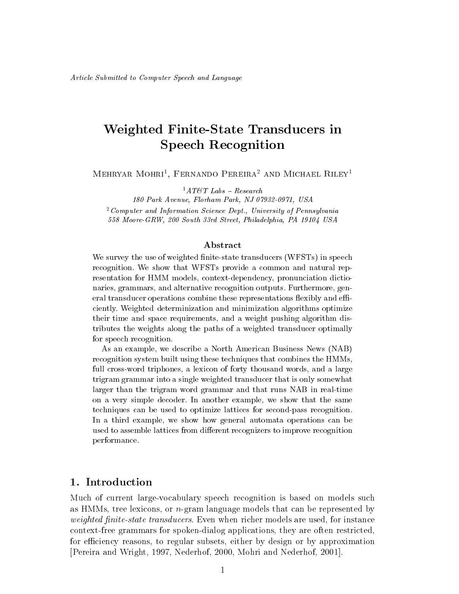# weighted Finite Transducers in the State Transducers in the State Transducers in the State Transducers in the S spectrum and complete recognition of the complete state of the complete state of the complete state of the complete state of the complete state of the complete state of the complete state of the complete state of the compl

Mehryar Mohri Fernando Pereira and Michael Riley

 ${}^{1}AT\mathcal{B}T$  Labs - Research

- Park Avenue Florham Park Avenue Florham Park NJ Andre Park NJ Andre Park NJ Andre Park NJ Andre Park NJ Andre  $^{2}$ Computer and Information Science Dept., University of Pennsylvania usa society and philosophe and street productions of the Street Philadelphia Party and the Street Philadelphia

## **A** bstract

where the use of weighted nitestate transferred nitestates the use  $\mu$  in speech and the speech of the speech recognition. We show that WFSTs provide a common and natural representation for HMM models, context-dependency, pronunciation dictionaries, grammars, and alternative recognition outputs. Furthermore, general transducer operations combine these representations flexibly and efficiently Weighted determinization and minimization algorithms optimize their time and space requirements and a weight pushing algorithm dis tributes the weights along the paths of a weighted transducer optimally for speech recognition

As an example we describe a North American Business American Business News - (1989-1989) recognition system built using these techniques that combines the HMMs full cross-word triphones, a lexicon of forty thousand words, and a large trigram grammar into a single weighted transducer that is only somewhat larger than the trigram word grammar and that runs NAB in real-time on a very simple decoder. In another example, we show that the same techniques can be used to optimize lattices for second-pass recognition. In a third example, we show how general automata operations can be used to assemble lattices from different recognizers to improve recognition performance

# 1. Introduction

Much of current large-vocabulary speech recognition is based on models such as HMMs, tree lexicons, or  $n$ -gram language models that can be represented by weighted prices transducers- are used for instancers are used for instance models are used for instance in an context-free grammars for spoken-dialog applications, they are often restricted, for efficiency reasons, to regular subsets, either by design or by approximation Pereira and Wright Nederhof Mohri and Nederhof -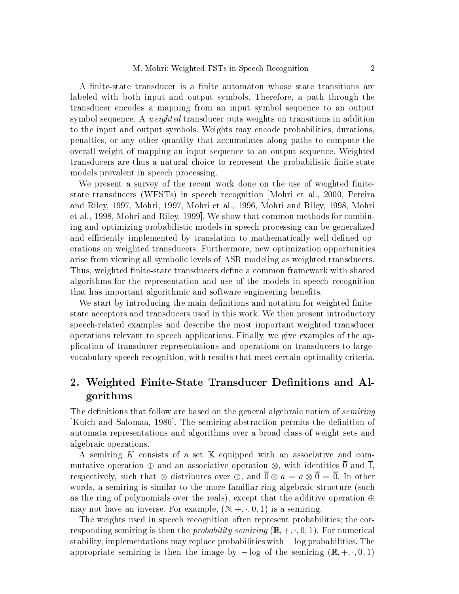A finite-state transducer is a finite automaton whose state transitions are labeled with the both input symbols-  $\alpha$  ,  $\beta$  ,  $\beta$  ,  $\beta$  ,  $\beta$  ,  $\beta$  ,  $\beta$  ,  $\beta$  ,  $\beta$  ,  $\beta$  ,  $\beta$  ,  $\beta$  ,  $\beta$  ,  $\beta$  ,  $\beta$  ,  $\beta$  ,  $\beta$  ,  $\beta$  ,  $\beta$  ,  $\beta$  ,  $\beta$  ,  $\beta$  ,  $\beta$  ,  $\beta$  ,  $\beta$  ,  $\beta$  ,  $\beta$ transducer encodes a mapping from an input symbol sequence to an output symbol sequence- A weighted transducer puts weights on transitions in addition to the input and output symbols- Weights may encode probabilities durations penalties or any other quantity that accumulates along paths to compute the overall weight of mapping an input sequence to an output sequence- Weighted transducers are thus a natural choice to represent the probabilistic finite-state models prevalent in speech processing-

We present a survey of the recent work done on the use of weighted finitestate transducers WFSTs in speech recognition Mohri et al- Pereira and Riley (1999) is a control of the riley that the control control and Riley (1999) is a control of the control of the control of the control of the control of the control of the control of the control of the control of t et al- Mohri and Riley - We show that common methods for combin ing and optimizing probabilistic models in speech processing can be generalized and efficiently implemented by translation to mathematically well-defined operations on weighted transducers- Furthermore new optimization opportunities arise from viewing all symbolic levels of ASR modeling as weighted transducers-Thus, weighted finite-state transducers define a common framework with shared algorithms for the representation and use of the models in speech recognition that has important algorithmic and software engineering benefits.

We start by introducing the main definitions and notation for weighted finitestate acceptors and transducers used in this work- We then present introductory speech-related examples and describe the most important weighted transducer operations relevant to speech applications- Finally we give examples of the ap plication of transducer representations and operations on transducers to large vocabulary speech recognition, with results that meet certain optimality criteria.

# - Weighted FiniteState Transducer Denitions and Al gorithms

The definitions that follow are based on the general algebraic notion of *semiring* Kuich and Salomaa - The semiring abstraction permits the denition of automata representations and algorithms over a broad class of weight sets and algebraic operations-

A semiring K consists of a set K equipped with an associative and commutative operation  $\oplus$  and an associative operation  $\otimes$ , with identities  $\overline{0}$  and  $\overline{1}$ , respectively, such that  $\otimes$  distributes over  $\oplus$ , and  $0 \otimes a = a \otimes 0 = 0$ . In other words, a semiring is similar to the more familiar ring algebraic structure (such as the ring of polynomials over the reals), except that the additive operation  $\oplus$  $\max$  not have an inverse. For example,  $(x, \pm, \cdot, 0, 1)$  is a semiring.

The weights used in speech recognition often represent probabilities; the corresponding semiring is then the *probability semiring*  $(\mathbb{R}, +, \cdot, 0, 1)$ . For numerical  $_{\rm{5}}$  radiity, implementations may replace probabilities with  $-$  log probabilities. The appropriate semiring is then the image by  $-$  log of the semiring  $(\mathbb{R}, +, \cdot, 0, 1)$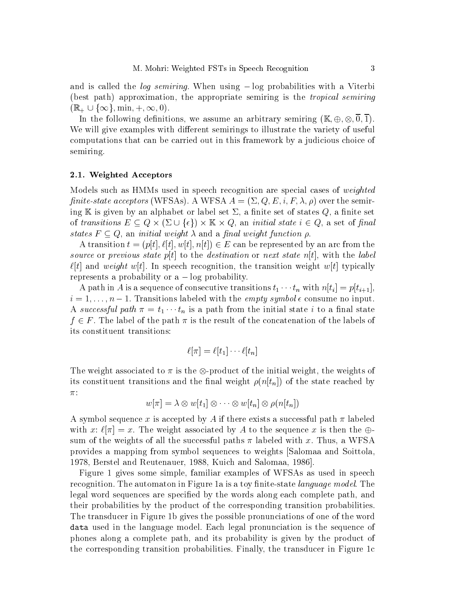and is called the *toy semiring*. When using  $-$  log probabilities with a Viterbi (best path) approximation, the appropriate semiring is the *tropical semiring*  $(\mathbb{R}_{+} \cup \{\infty\}, \min, +, \infty, 0).$ 

In the following definitions, we assume an arbitrary semiring  $(\mathbb{K}, \oplus, \otimes, \overline{0}, \overline{1})$ . We will give examples with different semirings to illustrate the variety of useful computations that can be carried out in this framework by a judicious choice of semiring.

### - Weighted Acceptors and the Company of the Company of the Company of the Company of the Company of the Company of the Company of the Company of the Company of the Company of the Company of the Company of the Company of th

Models such as HMMs used in speech recognition are special cases of weighted nitestate acceptors WFSAs
- A WFSA A  Q E i F - over the semir ing K is given by an alphabet or label set  $\Sigma$ , a finite set of states Q, a finite set of transitions  $E \subseteq Q \times (\Sigma \cup \{\epsilon\}) \times \mathbb{K} \times Q$ , an initial state  $i \in Q$ , a set of final states  $F \subseteq Q$ , an initial weight  $\lambda$  and a final weight function  $\rho$ .

A transition  $t = (p|t|, \ell |t|, w|t|, n|t|) \in E$  can be represented by an arc from the source or previous state ptc, in the distribution or claim state class three than the label t and weight wt - In speech recognition the transition weight wt typically represents a probability or  $a - log$  probability.

A path in A is a sequence of consecutive transitions  $t_1 \cdots t_n$  with  $n[t_i] = p[t_{i+1}],$  $i = 1, \ldots, n - 1$ . Hansitions labeled with the empty symbol coonsume no input. A successful path  $\pi = t_1 \cdots t_n$  is a path from the initial state  $i$  to a nitial state  $f \in F$ . The label of the path  $\pi$  is the result of the concatenation of the labels of its constituent transitions

$$
\ell[\pi] = \ell[t_1] \cdots \ell[t_n]
$$

The weight associated to  $\pi$  is the  $\otimes$ -product of the initial weight, the weights of its constituent transitions and the nal weight -ntn of the state reached by  $\pi\colon$ 

$$
w[\pi] = \lambda \otimes w[t_1] \otimes \cdots \otimes w[t_n] \otimes \rho(n[t_n])
$$

A symbol sequence x is accepted by A if there exists a successful path  $\pi$  labeled with x:  $\ell |\pi| = x$ . The weight associated by A to the sequence x is then the  $\bigoplus$ sum of the weights of all the successful paths labeled with x- Thus a WFSA provides a mapping from symbol sequences to weights Salomaa and Soittola, Berstel and Reutenauer Kuich and Salomaa -

Figure 1 gives some simple, familiar examples of WFSAs as used in speech recognition- and contract in Figure and  $\alpha$  is a top nite language model-contract and  $\alpha$ legal word sequences are specified by the words along each complete path, and their probabilities by the product of the corresponding transition probabilities-The transducer in Figure 1b gives the possible pronunciations of one of the word data used in the language model-called pronunciation is the sequence of the sequence of  $\alpha$ phones along a complete path and its probability is given by the product of the corresponding transferred probabilities- in Figure corresponding the transducer in  $\mathcal{A}$  the transferred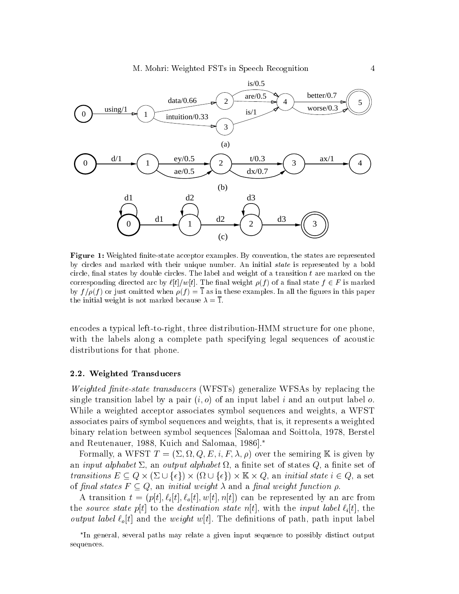### M. Mohri: Weighted FSTs in Speech Recognition 4



**Figure 1:** weighted ninte-state acceptor examples. By convention, the states are represented by circles and marked with their unique number- An initial state is represented by a bold circle nal states by double circles- The label and weight of a transition t are marked on the corresponding directed arc by twi-plane matches architecture for a national weight of a national commence of the  $\alpha$  , f is in the second when  $\mu$  is the ground when  $\mu$  as in the ground  $\alpha$  and  $\alpha$  in the ground  $\mu$  and  $\mu$ the initial weight is not marked because  $\lambda = \overline{1}$ .

encodes a typical left-to-right, three distribution-HMM structure for one phone, with the labels along a complete path specifying legal sequences of acoustic distributions for that phone.

#### Weighted Transducers

Weighted finite-state transducers (WFSTs) generalize WFSAs by replacing the single transition label by a pair  $(i, o)$  of an input label i and an output label o. While a weighted acceptor associates symbol sequences and weights, a WFST associates pairs of symbol sequences and weights, that is, it represents a weighted binary relation between symbol sequences [Salomaa and Soittola, 1978, Berstel and Reutenauer, 1988, Kuich and Salomaa, 1980].

 $\mathcal{L}$  . The set of  $\mathcal{L}$  is a semi-dimensional method in the semi-dimension of  $\mathcal{L}$  is a set of  $\mathcal{L}$ an *input alphabet*  $\Sigma$ , an *output alphabet*  $\Omega$ , a finite set of states  $Q$ , a finite set of transitions  $E \subseteq Q \times (\Sigma \cup \{\epsilon\}) \times (\Omega \cup \{\epsilon\}) \times \mathbb{K} \times Q$ , an initial state  $i \in Q$ , a set of final states  $F \subseteq Q$ , an initial weight  $\lambda$  and a final weight function  $\rho$ .

 $\mathcal{N}$  is a can be represented by an arc from arc from an arc from an arc from arc from an arc from arc from an arc from an arc from an arc from an arc from an arc from an arc from an arc from an arc from an arc from an the source state pt all the the state nteriors to the input label items the input label it approach and the in output label other means of path in path in the well-continued in path in path path input label in

In general several paths may relate a given input sequence to possibly distinct output sequences.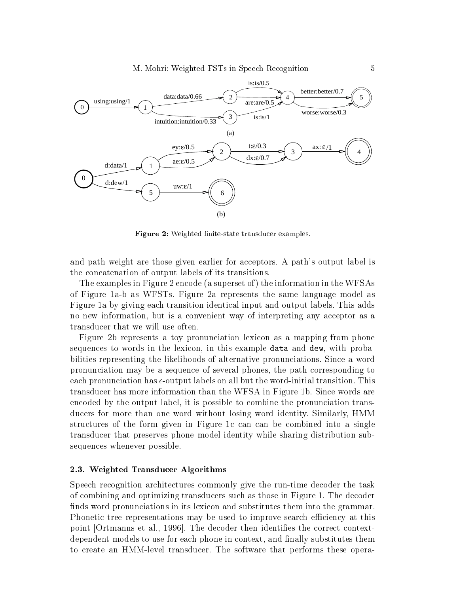

 $\bf r$  igure  $\bf z$ , weighted nime-state transducer examples.

and paths in a part weight are those considers are acceptors- in paths output label is an acceptor the concatenation of output labels of its transitions-

The examples in Figure 2 encode (a superset of) the information in the WFSAs of Figure ab as WFSTs- Figure a represents the same language model as Figure a by giving each transition identical input and output labels- This adds no new information, but is a convenient way of interpreting any acceptor as a transducer that we will use often-

Figure 2b represents a toy pronunciation lexicon as a mapping from phone sequences to words in the lexicon, in this example data and dew, with probabilities representing the likelihoods of alternative pronunciations- Since a word pronunciation may be a sequence of several phones, the path corresponding to each pronunciation has output labels on all but the wordinitial transition- This transducer has more information than the WFSA in Figure b- Since words are encoded by the output label, it is possible to combine the pronunciation transduction for more than one without distinct than  $\pi$  without  $\mu$  . Similarly the similar  $\mu$ structures of the form given in Figure 1c can can be combined into a single transducer that preserves phone model identity while sharing distribution sub sequences whenever possible-

## 2.3. Weighted Transducer Algorithms

Speech recognition architectures commonly give the run-time decoder the task of combining and optimizing transducers such as those in Figure - The decoder finds word pronunciations in its lexicon and substitutes them into the grammar. Phonetic tree representations may be used to improve search efficiency at this point or decompose the distribution of the decoder the correct context correct context context. dependent models to use for each phone in context, and finally substitutes them to create and Houston transformation that the software the software the software the software the software the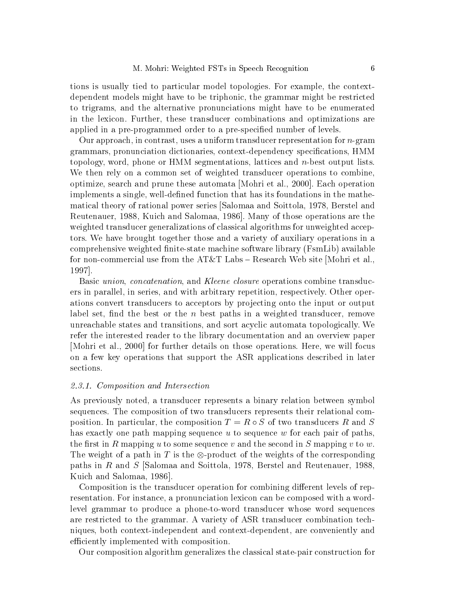tions is usually tied to particular model topologies- For example the context dependent models might have to be triphonic, the grammar might be restricted to trigrams and the alternative pronunciations might have to be enumerated in the lexicon-lexicon-lexicon-lexicon-lexicon-lexicon-lexicon-lexicon-lexicon-lexicon-lexicon-lexicon-lexiconapplied in a pre-programmed order to a pre-specified number of levels.

Our approach, in contrast, uses a uniform transducer representation for  $n$ -gram grammars, pronunciation dictionaries, context-dependency specifications, HMM topology, word, phone or HMM segmentations, lattices and n-best output lists. We then rely on a common set of weighted transducer operations to combine, optimize search and provided the motive and all-completed motives are all-complete al-complete and al-complete implements a single, well-defined function that has its foundations in the mathematical theory of rational power series Salomaa and Soittola, 1978, Berstel and -extensive and Salomaa are those operations are those operations are those operations are those operations are weighted transducer generalizations of classical algorithms for unweighted accep tors-we have brought together those and a variety of auxiliary operations in a variety of auxiliary operations comprehensive weighted finite-state machine software library (FsmLib) available for non-commercial use from the AT&T Labs  $-$  Research Web site [Mohri et al.. -

Basic union, concatenation, and Kleene closure operations combine transducers in parallel in series and with a series and with a repetition repetition repetition repetition respectively ations convert transducers to acceptors by projecting onto the input or output label set, find the best or the n best paths in a weighted transducer, remove unreachable states and transitions and sort and sort and sort and sort and sort and sort and sort and sort and refer the interested reader to the library documentation and an overview paper Mohri et al- for further details on those operations- Here we will focus on a few key operations that support the ASR applications described in later sections-

#### - Composition and Intersection

As previously noted, a transducer represents a binary relation between symbol sequences - The composition of the components the composition of the components their relationship of the compo position. In particular, the composition  $I = K \circ S$  of two transducers  $R$  and  $S$ has exactly one path mapping sequence  $u$  to sequence  $w$  for each pair of paths, the first in R mapping u to some sequence v and the second in S mapping v to w. The weight of a path in T is the  $\otimes$ -product of the weights of the corresponding paths in R and S Salomaa and Soittola, 1978, Berstel and Reutenauer, 1988, Kuich and Salomaa -

Composition is the transducer operation for combining different levels of rep-. The instance a proposed with a problem composed with a word with a word with a word with a word with a word level grammar to produce a phone-to-word transducer whose word sequences are restricted to the grammar-schement, of ASR transducer components there is the niques, both context-independent and context-dependent, are conveniently and efficiently implemented with composition.

Our composition algorithm generalizes the classical state-pair construction for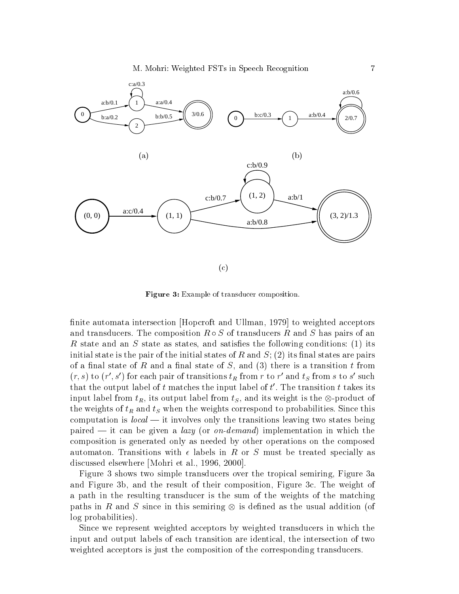

 $\bf r$  igure  $\bf s$ . Example of transducer composition.

nite automata intersection Hopcroft and Ullman to weighted acceptors and transducers. The composition  $R \circ S$  of transducers  $R$  and  $S$  has pairs of an R state and an S state as states, and satisfies the following conditions: (1) its initial state is the pair of the initial states of R and  $S$ ; (2) its final states are pairs of a final state of R and a final state of S, and  $(3)$  there is a transition t from  $(r, s)$  to  $(r, s)$  for each pair of transitions  $\iota_R$  from  $r$  to  $r$  and  $\iota_S$  from  $s$  to  $s$  such that the output label of t matches the input label of  $t$  . The transition t takes its input label from  $t_R$ , its output label from  $t_S$ , and its weight is the  $\otimes$ -product of the weights of the weights correspond to probabilities correspond to probabilities-this correspond to probabilities  $\alpha$ computation is  $local$   $-$  it involves only the transitions leaving two states being paired — it can be given a *lazy* (or *on-demand*) implementation in which the composition is generated only as needed by other operations on the composed automaton-bands with labels in R or S must be transitions with the special labels in S must be treated specially as discussed elsewhere Mohri et al- -

Figure 3 shows two simple transducers over the tropical semiring, Figure 3a and Figure b and the result of the composition Figure composition  $\mathcal{A}$ a path in the resulting transducer is the sum of the weights of the matching paths in R and S since in this semiring  $\otimes$  is defined as the usual addition (of log probabilities).

Since we represent weighted acceptors by weighted transducers in which the input and output labels of each transition are identical, the intersection of two weighted acceptors is just the composition of the corresponding transducers.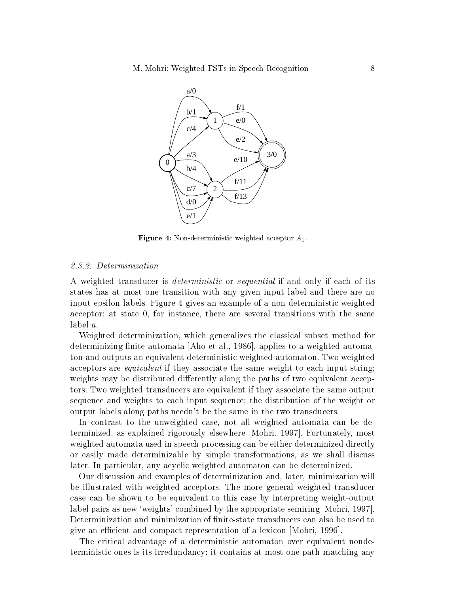

 $\bf r$  igure  $\bf a$ ; ivon-deterministic weighted acceptor  $\bf a_1$ .

A weighted transducer is deterministic or sequential if and only if each of its states has at most one transition with any given input label and there are no input epsilon labels- and example of a non-deterministic weighted weighted weighted weighted weighted and a non acceptor: at state  $0$ , for instance, there are several transitions with the same label  $a$ .

Weighted determinization, which generalizes the classical subset method for determinizing nite automata Aho et al-a-weighted automata Aho et al-a-weighted automatic  $\mathbf{A}$ ton and outputs an equivalent deterministic weighted automaton- Two weighted acceptors are *equivalent* if they associate the same weight to each input string; weights may be distributed differently along the paths of two equivalent acceptors-tors-tors- they are extended the same output included the same output is the same output the same output i sequence and weights to each input sequence; the distribution of the weight or output labels along paths needn't be the same in the two transducers.

In contrast to the unweighted case, not all weighted automata can be determinized as explained rigorously elsewhere Mohri - Fortunately most weighted automata used in speech processing can be either determinized directly or easily made determinizable by simple transformations as we shall discuss later- In particular any acyclic weighted automaton can be determinized-

Our discussion and examples of determinization and, later, minimization will  $\mathbf{N}$ case can be shown to be equivalent to this case by interpreting weight-output label pairs as new weights combined by the appropriate semiring Mohri -Determinization and minimization of finite-state transducers can also be used to  $\alpha$  and compact representation of a lexicon Mohri and compact representation  $\alpha$  less and  $\alpha$ 

The critical advantage of a deterministic automaton over equivalent nonde terministic ones is its irredundancy it contains at most one path matching any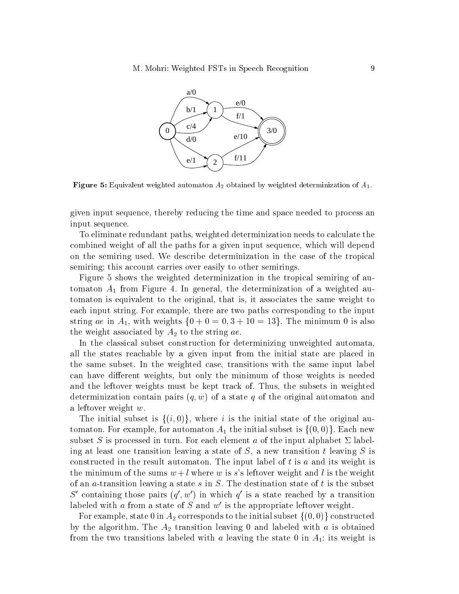

Figure Equivalent weighted automaton A obtained by weighted determinization of A-

given input sequence thereby reducing the time and space needed to process an input sequence.

To eliminate redundant paths, weighted determinization needs to calculate the combined weight of all the paths for a given input sequence, which will depend on the semiring used- We describe determinization in the case of the tropical semiring; this account carries over easily to other semirings.

Figure 5 shows the weighted determinization in the tropical semiring of automaton A from Figure -In general the determinization of a weighted au tomaton is equivalent to the original, that is, it associates the same weight to each input string- is there are two paths corresponding to the input  $\alpha$  are two paths corresponding to the input  $\alpha$ string ae in  $A_1$ , with weights  $\{0+0=0,3+10=13\}$ . The minimum 0 is also the weight associated by A-2 in the string aeri

In the classical subset construction for determinizing unweighted automata all the states reachable by a given input from the initial state are placed in the same subset-transitions with the weighted case transitions with the same input labelled case transitions with the same input labelled case transitions with the same input labelled case  $\mathbf{r}_i$ can have different weights, but only the minimum of those weights is needed and the leftover weights must be kept track of a must be subsets in the subsets in weighted and the subsets in determinization contain pairs  $(q, w)$  of a state q of the original automaton and a leftover weight  $w$ .

The initial subset is  $\{(i,0)\}\$ , where i is the initial state of the original automaton. For example, for automaton  $A_1$  the initial subset is  $\{(0,0)\}$ . Each new subset S is processed in turn-order and interesting in the input alphabet in purpose  $\sim$  -  $\sim$ ing at least one transition leaving a state of  $S$ , a new transition t leaving  $S$  is constructed in the internet automaton-the input label of the input label of the input label of the input label the minimum of the sums  $w + l$  where w is s's leftover weight and l is the weight of an atransition leaving a state s in S-maximum state s in S-maximum state of the subset of the subset of the subset of the subset of the subset of the subset of the subset of the subset of the subset of the subset of th  $S$  containing those pairs  $(q\,,w\,)$  in which  $q$  is a state reached by a transition labeled with a from a state of S and  $w'$  is the appropriate leftover weight.

For example, state 0 in  $A_2$  corresponds to the initial subset  $\{(0,0)\}$  constructed  $\alpha$  the algorithm-compact and labeled with a isometric with a isometric with a isometric with a isometric with a isometric with a isometric with a isometric with a isometric with a isometric with  $\alpha$ from the two transitions labeled with a leaving the state 0 in  $A_1$ : its weight is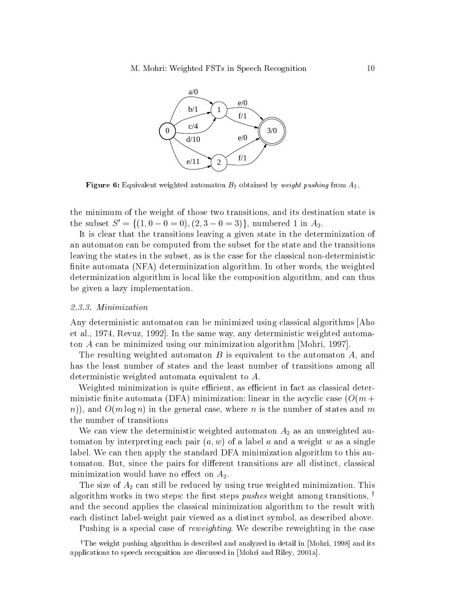

**Figure 0.** Equivalent weighted automaton  $D_2$  obtained by weight pushing from  $A_2$ .

the minimum of the weight of those two transitions and its destination state is the subset  $S' = \{(1, 0 - 0 = 0), (2, 3 - 0 = 3)\}\$ , numbered 1 in  $A_2$ .

It is clear that the transitions leaving a given state in the determinization of an automaton can be computed from the subset for the state and the transitions leaving the states in the subset, as is the case for the classical non-deterministic nite automata NFA
 determinization algorithm- In other words the weighted determinization algorithm is local like the composition algorithm, and can thus be given a lazy implementation.

Any deterministic automaton can be minimized using classical algorithms [Aho et al- Revuz - In the same way any deterministic weighted automa to a can be minimized using our minimization algorithm  $M$  can be minimization algorithm Mohri  $M$ 

The resulting weighted automaton  $B$  is equivalent to the automaton  $A$ , and has the least number of states and the least number of transitions among all deterministic weighted automata equivalent to A-

Weighted minimization is quite efficient, as efficient in fact as classical deterministic finite automata (DFA) minimization: linear in the acyclic case  $(O(m +$ n), and  $O(m \log n)$  in the general case, where n is the number of states and m the number of transitions

We can view the deterministic weighted automaton A-model automaton  $A$ tomaton by interpreting each pair  $(a, w)$  of a label a and a weight w as a single label- We can then apply the standard DFA minimization algorithm to this au tomaton- But since the pairs for dierent transitions are all distinct classical minimization would have no eect on A--

 $\tau$  are still be reduced by using the still by using true weighted minimization-component minimizationalgorithm works in two steps: the first steps *pushes* weight among transitions,  $\dagger$ and the second applies the classical minimization algorithm to the result with each distinct label-weight pair viewed as a distinct symbol, as described above.

Pushing is a special case of reweighting- We describe reweighting in the case

 $^{\prime}$  I ne weight pushing algorithm is described and analyzed in detail in [Mohri, 1998] and its  $^{\prime}$ applications to speech recognition are discussed in [Mohri and Riley, 2001a].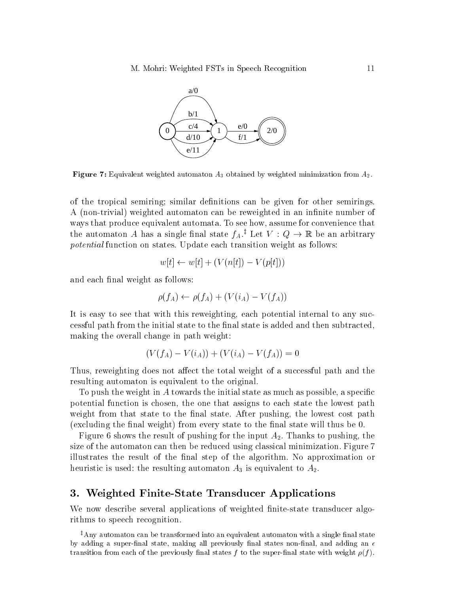

 $\bf r$  igure  $\bf r$ . Equivalent weighted automaton  $A_3$  obtained by weighted minimization from  $A_2.$ 

of the tropical semiring; similar definitions can be given for other semirings. A (non-trivial) weighted automaton can be reweighted in an infinite number of ways that produce equivalent automation and the see how assume for convenience that convenience that the convenience the automaton A has a single final state  $f_A$  + Let  $V: Q \to \mathbb{K}$  be an arbitrary potential function on states- weight weight as follows the states-  $\mathcal{L}_{\mathcal{A}}$ 

$$
w[t] \leftarrow w[t] + (V(n[t]) - V(p[t]))
$$

and each final weight as follows:

$$
\rho(f_A) \leftarrow \rho(f_A) + (V(i_A) - V(f_A))
$$

It is easy to see that with this reweighting, each potential internal to any successful path from the initial state to the final state is added and then subtracted, making the overall change in path weight

$$
(V(f_A) - V(i_A)) + (V(i_A) - V(f_A)) = 0
$$

Thus, reweighting does not affect the total weight of a successful path and the resulting automaton is equivalent to the original-

To push the weight in  $A$  towards the initial state as much as possible, a specific potential function is chosen, the one that assigns to each state the lowest path we that state to the natural state to the natural state to the natural state-of-(excluding the final weight) from every state to the final state will thus be  $0$ .

Figure shows the result of pushing for the input A-- Thanks to pushing the size of the automaton can then be reduced using complete minimization-  $\mathcal{A}$  minimizationillustrates the result of the nal step of the algorithm- No approximation or here we have the result is used to an interesting and in each  $\alpha$  is equivalent to  $\alpha$  is equivalent to  $\alpha$ 

# 3. Weighted Finite-State Transducer Applications

We now describe several applications of weighted finite-state transducer algorithms to speech recognition-

<sup>‡</sup>Any automaton can be transformed into an equivalent automaton with a single final state by adding a super-final state, making all previously final states non-final, and adding an  $\epsilon$ transition from the states from  $\mathcal{L}_{\mathcal{A}}$  and states  $f$  to the supernal states with with  $\mathcal{L}_{\mathcal{A}}$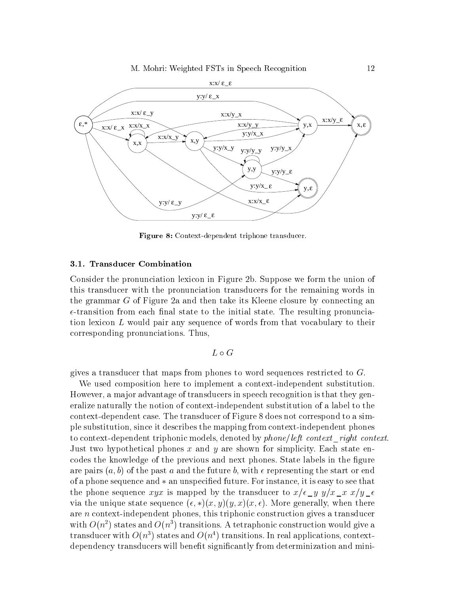

 $\bf r$  igure  $\bf s$ : Context-dependent triphone transducer.

Consider the pronunciation lexicon in Figure b- Suppose we form the union of this transducer with the pronunciation transducers for the remaining words in the grammar  $G$  of Figure 2a and then take its Kleene closure by connecting an transition from each nal state to the initial state- The resulting pronuncia tion lexicon L would pair any sequence of words from that vocabulary to their corresponding properties and the corresponding properties of the corresponding properties of the corresponding of the corresponding properties of the corresponding properties of the corresponding properties of the correspo

 $L \circ G$ 

gives a transducer that maps from phones to word sequences restricted to  $G$ .

We used composition here to implement a context-independent substitution. However, a major advantage of transducers in speech recognition is that they generalize naturally the notion of context-independent substitution of a label to the contextdependent case- The transducer of Figure does not correspond to a sim ple substitution, since it describes the mapping from context-independent phones to context-dependent triphonic models, denoted by  $phone/left\$  context right context. Just two hypothetical phones x and y are shown for simplicity- Each state en codes the the codes the previous and next phones-phones-section and next phonesare pairs  $(a, b)$  of the past a and the future b, with  $\epsilon$  representing the start or end of a phone sequence and  $\ast$  an unspecified future. For instance, it is easy to see that the phone sequence xyx is mapped by the transducer to  $x/\epsilon \, y \, y/x \, x \, x/y \, \epsilon$ via the unique state sequence  $(\epsilon, *)(x, y)(y, x)(x, \epsilon)$ . More generally, when there are  $n$  context-independent phones, this triphonic construction gives a transducer with  $O(n^2)$  states and  $O(n^2)$  transitions. A tetraphonic construction would give a transqueer with  $O(n^*)$  states and  $O(n^*)$  transitions. In real applications, contextdependency transducers will benefit significantly from determinization and mini-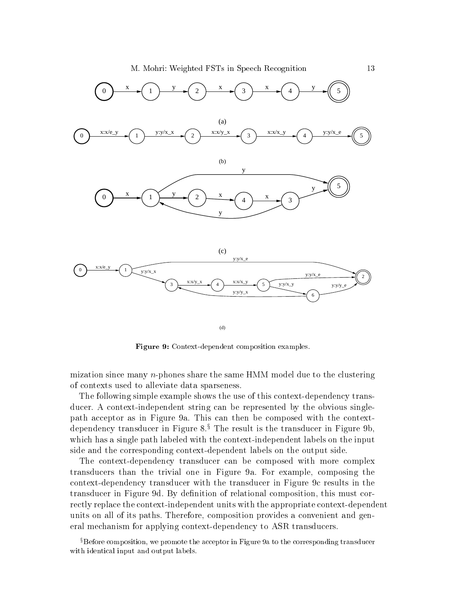

 $\bf r$  igure  $\bf s$ : Context-dependent composition examples.

mization since many *n*-phones share the same HMM model due to the clustering of contexts used to alleviate data sparseness-

The following simple example shows the use of this context-dependency transducer- A contextindependent string can be represented by the obvious single paths and the composed with the composed with the composed with the context of the context of the context of the context of the context of the context of the context of the context of the context of the context of the cont dependency transducer in Figure 8. The result is the transducer in Figure 9D, which has a single path labeled with the context-independent labels on the input side and the corresponding context-dependent labels on the output side.

The context-dependency transducer can be composed with more complex transition that the trivial one in Figure a-model one in Figure a-model one in Figure a-model one in Figure acontext-dependency transducer with the transducer in Figure 9c results in the transducer in Figure d- By denition of relational composition this must cor rectly replace the context-independent units with the appropriate context-dependent units on all of its paths-component and general components provides a component and general  $\pi$ eral mechanism for applying context-dependency to ASR transducers.

before composition, we promote the acceptor in Figure 9a to the corresponding transducer with identical input and output labels.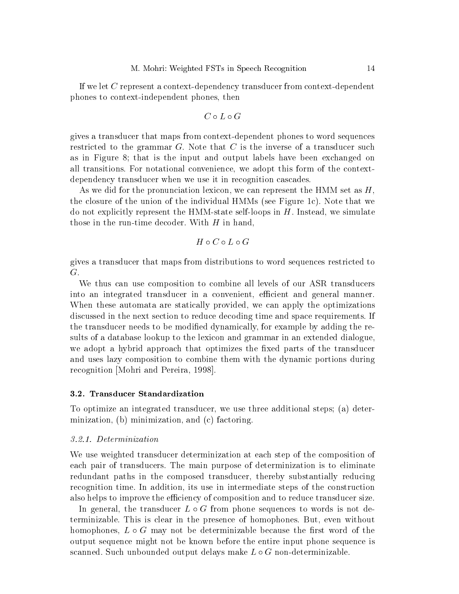If we let  $C$  represent a context-dependency transducer from context-dependent phones to context-independent phones, then

$$
C\circ L\circ G
$$

gives a transducer that maps from context-dependent phones to word sequences restricted to the grammar G- Note that C is the inverse of a transducer such as in Figure 8; that is the input and output labels have been exchanged on all transitions- convenience we adopt the convenience we adopt this form of the context the context of the con dependency transducer when we use it in recognition cascades.

As we did for the pronunciation lexicon, we can represent the HMM set as  $H$ ,  $\mathcal{L}$ do not explicitly represent the HMM tasks in HMMstate self-loops in H-MM tasks in H-M-M-M-M-M-M-M-M-M-M-M-M-Mthose in the runtime decoder-decoder-decoder-decoder-decoder-decoder-decoder-decoder-decoder-decoder-decoder-

$$
H\circ C\circ L\circ G
$$

gives a transducer that maps from distributions to word sequences restricted to  $G.$ 

We thus can use composition to combine all levels of our ASR transducers into an integrated transducer in a convenient, efficient and general manner. When these automata are statically provided, we can apply the optimizations discussed in the next section to reduce the next section time and space requirements-in the space requirementsthe transducer needs to be modified dynamically, for example by adding the results of a database lookup to the lexicon and grammar in an extended dialogue we adopt a hybrid approach that optimizes the fixed parts of the transducer and uses lazy composition to combine them with the dynamic portions during recognition Mohri and Pereira -

## 3.2. Transducer Standardization

To optimize an integrated transducer, we use three additional steps; (a) determinization,  $(b)$  minimization, and  $(c)$  factoring.

#### 3.2.1. Determinization

We use weighted transducer determinization at each step of the composition of each pair of transducers- The main purpose of determinization is to eliminate redundant paths in the composed transducer, thereby substantially reducing recognition time- In addition its use in intermediate steps of the construction also helps to improve the efficiency of composition and to reduce transducer size.

In general, the transducer  $L \circ G$  from phone sequences to words is not dethe is is clear in the presence of the presence of the presence of the presence of  $\mathcal{L}_\mathbf{p}$ homophones,  $L \circ G$  may not be determinizable because the first word of the output sequence might not be known before the entire input phone sequence is scanned. Such unbounded output delays make  $L \circ G$  non-determinizable.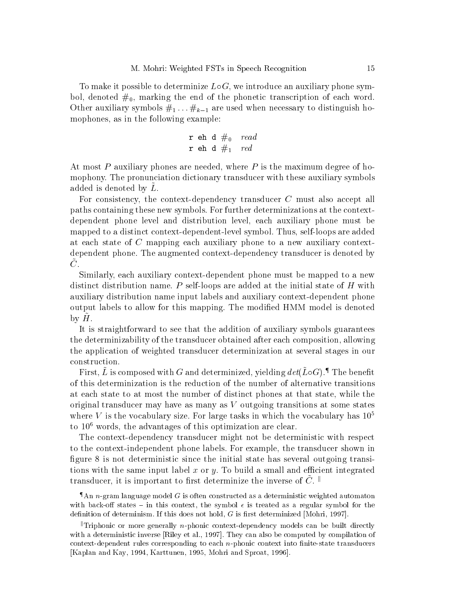To make it possible to determinize  $LoG$ , we introduce an auxiliary phone symbol, denoted  $\#_0$ , marking the end of the phonetic transcription of each word.  $\begin{array}{ccc} \text{I} & \text{I} & \text{I} & \text{I} & \text{I} & \text{I} & \text{I} & \text{I} & \text{I} & \text{I} & \text{I} & \text{I} & \text{I} & \text{I} & \text{I} & \text{I} & \text{I} & \text{I} & \text{I} & \text{I} & \text{I} & \text{I} & \text{I} & \text{I} & \text{I} & \text{I} & \text{I} & \text{I} & \text{I} & \text{I} & \text{I} & \text{I} & \text{I} & \text{I} & \text{I} & \text{$ mophones, as in the following example:

$$
\begin{array}{l}\n \texttt{r eh d} \#_0 \quad read \\
 \texttt{r eh d} \#_1 \quad red\n \end{array}
$$

At most P auxiliary phones are needed, where P is the maximum degree of homophony- The pronunciation dictionary transducer with these auxiliary symbols added is deficied by  $L$ .

For consistency, the context-dependency transducer  $C$  must also accept all paths containing these new symbols-context at the context context at the context of the context  $\sim$ dependent phone level and distribution level each auxiliary phone must be mapped to a distinct context context symposium are added to a distinct context are added to a determined to a at each state of C mapping each auxiliary phone to a new auxiliary context dependent phone-to-context dependence transducer is producer is denoted by denoted by the second by the context  $\cup$  . The contract of  $\cup$  is the contract of  $\cup$ 

Similarly, each auxiliary context-dependent phone must be mapped to a new distinct distribution name-experiment at the initial state of H with a self-loops are added at the initial sta auxiliary distribution name input labels and auxiliary context-dependent phone output and the modie to allow for the modie  $\mu$  modies and distance the modies of the modies of the modies of  $\mathsf{D} \mathsf{y}$   $\mathsf{H}$ .

It is straightforward to see that the addition of auxiliary symbols guarantees the determinizability of the transducer obtained after each composition allowing the application of weighted transducer determinization at several stages in our construction-

First, L is composed with G and determinized, yielding  $\det L \circ G$  ). The benefit of this determinization is the reduction of the number of alternative transitions at each state to at most the number of distinct phones at that state while the original transducer may have as many as  $V$  outgoing transitions at some states where  $V$  is the vocabulary size. For large tasks in which the vocabulary has 10  $\,$ to  $10^6$  words, the advantages of this optimization are clear.

The context-dependency transducer might not be deterministic with respect to the contextindependent phone labels- For example the transducer shown in figure 8 is not deterministic since the initial state has several outgoing transitions with the same input label x or y- To build a small and ecient integrated  $\alpha$  determinize the integral term in the inverse of  $\alpha$ . **k** and the state of the state

 $\P$ An *n*-gram language model G is often constructed as a deterministic weighted automaton with back-off states – in this context, the symbol  $\epsilon$  is treated as a regular symbol for the denition of determinism-control G is respectively. This does not hold G is respectively as a state of determinism-

Triphonic or more generally n-phonic context-dependency models can be built directly with a deterministic inverse person, we also by complete also be computed by computed by computed by  $context-dependent rules corresponding to each *n*-phonic context into finite-state transducers$ Kaplan and Kay Karttunen Mohri and Sproat -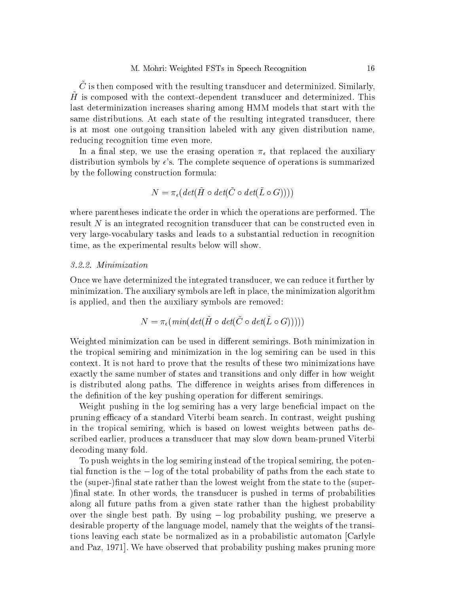#### M. Mohri: Weighted FSTs in Speech Recognition 16

 $\cup$  is then composed with the resulting transducer and determinized. Shimarry,  $\mu$  is composed with the context-dependent transducer and determinized. This last determinization increases sharing among HMM models that start with the same distributions-distributions-distributions-distributions-distributions-distributions-distributions-distributions-distributions-distributions-distributions-distributions-distributions-distributions-distributions-distri is at most one outgoing transition labeled with any given distribution name reducing recognition time even more.

In a final step, we use the erasing operation  $\pi_{\epsilon}$  that replaced the auxiliary distribution symbols by s-and-distribution symbols by s-and-distributions is summarized and an interesting of by the following construction formula

$$
N = \pi_{\epsilon}(\det(\tilde{H} \circ \det(\tilde{C} \circ \det(\tilde{L} \circ G))))
$$

where particles in the order in which the order in which the order in which the performed are performed the or result N is an integrated recognition transducer that can be constructed even in very large-vocabulary tasks and leads to a substantial reduction in recognition time, as the experimental results below will show.

Once we have determinized the integrated transducer, we can reduce it further by minimization-left in auxiliary symbols are left in place the place the minimization algorithment. is applied, and then the auxiliary symbols are removed:

$$
N = \pi_{\epsilon}(\min(\det(\tilde{H} \circ \det(\tilde{C} \circ \det(\tilde{L} \circ G))))
$$

Weighted minimization can be used in dierent semirings- Both minimization in the tropical semiring and minimization in the log semiring can be used in this context-to prove that the results of the results of the results of the results of the results of the results of exactly the same number of states and transitions and only differ in how weight is distributed along paths- The dierence in weights arises from dierences in the definition of the key pushing operation for different semirings.

Weight pushing in the log semiring has a very large beneficial impact on the produced a statistic and viteration of a standard viteration and contrast weight weights pushing pushing pushing a standard pushing of the statistic pushing and a standard pushing of the statistic pushing and a statistic p in the tropical semiring, which is based on lowest weights between paths described earlier, produces a transducer that may slow down beam-pruned Viterbi decoding many fold.

To push weights in the log semiring instead of the tropical semiring the poten tial function is the  $-\log$  of the total probability of paths from the each state to the (super-)final state rather than the lowest weight from the state to the (super-, also in other words the transducer is pushed in the terms of the transducer is probabilities of probabilities along all future paths from a given state rather than the highest probability over the single best path. By using  $-$  log probability pushing, we preserve a desirable property of the language model, namely that the weights of the transitions leaving each state be normalized as in a probabilistic automaton Carlyle and Paz - We have observed that probability pushing makes pruning more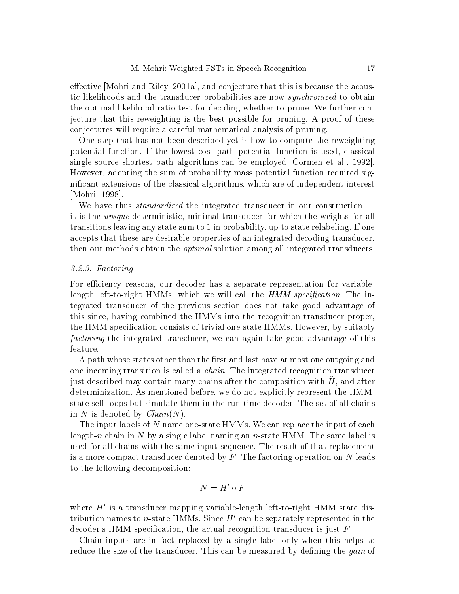#### M. Mohri: Weighted FSTs in Speech Recognition 17

eective Mohri and Riley and Conjecture that the acoust the acoust the acoust the acoust the acoust the acoust th tic likelihoods and the transducer probabilities are now synchronized to obtain the optimal likelihood ratio test for deciding whether to prune- We further con jecture that this reweighting is the best possible for pruning- A proof of these conjectures will require a careful mathematical analysis of pruning-

One step that has not been described yet is how to compute the reweighting potential function- If the lowest cost path potential function is used classical singles is not be extended paths in greaterman can be employed to open et al. - - - - - - - - - - - - - - - - -However, adopting the sum of probability mass potential function required significant extensions of the classical algorithms, which are of independent interest Mohri -

We have thus *standardized* the integrated transducer in our construction – it is the *unique* deterministic, minimal transducer for which the weights for all transitions in the state  $\alpha$  and state sum to state probability up to state relationship are controlled in the state of  $\alpha$ accepts that these are desirable properties of an integrated decoding transducer then our methods obtain the *optimal* solution among all integrated transducers.

## - Factoring

For efficiency reasons, our decoder has a separate representation for variablelength lefttoright HMMs which we will call the HMM specication- The in tegrated transducer of the previous section does not take good advantage of this since, having combined the HMMs into the recognition transducer proper, the HMM species of the HMM species of the HMM species of the HMMs-III ones that the the suitably the constant o factoring the integrated transducer, we can again take good advantage of this feature.

A path whose states other than the first and last have at most one outgoing and one incoming transition is called a chain-transducered recognition transmission transference just described may contain many chains after the composition with H, and after determinization- and the mentioned before we do not explicitly represent the HMMMMMMMMM of the HMMMMMMMMMMMMMM state selfloops but simulate them in the runtime decoder- The set of all chains in N is denoted by  $Chain(N)$ .

The input labels of N name onestate HMMs- We can replace the input of each lengthn chain in N by a single label naming an nstate HMM- The same label is with the same include with the same input sequence of the same in the result of the replacement. is a more compact transmission on  $\mathcal{I} = \{ \mathcal{I} \mid \mathcal{I} \}$  . Furthermore, we have  $\mathcal{I} = \{ \mathcal{I} \}$ to the following decomposition

$$
N=H'\circ F
$$

where  $H'$  is a transducer mapping variable-length left-to-right HMM state distribution names to *n*-state  $\pi$  mins. Since  $\pi$  can be separately represented in the decoder's HMM specification, the actual recognition transducer is just  $F$ .

Chain inputs are in fact replaced by a single label only when this helps to reduce the size of the transducer- This can be measured by dening the gain of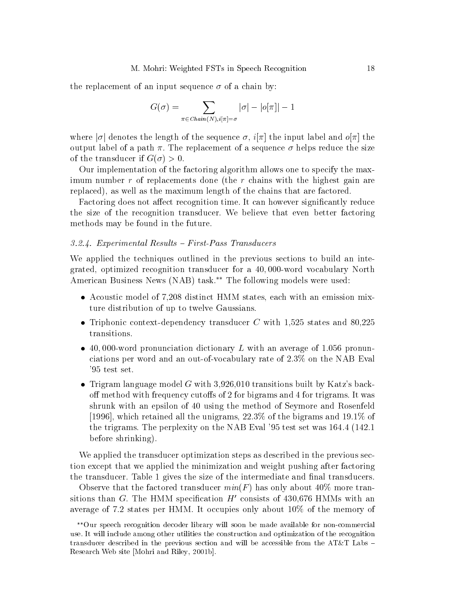the replacement of an input sequence  $\sigma$  of a chain by:

$$
G(\sigma) = \sum_{\pi \in \text{Chain}(N), i[\pi] = \sigma} |\sigma| - |o[\pi]| - 1
$$

where  $|\sigma|$  denotes the length of the sequence  $\sigma$ ,  $i[\pi]$  the input label and  $o[\pi]$  the output and replacement of path - the replacement of a size  $\eta$  section of a sequence the size  $\eta$ of the transducer if  $G(\sigma) > 0$ .

Our implementation of the factoring algorithm allows one to specify the max imum number  $r$  of replacements done (the  $r$  chains with the highest gain are replaced), as well as the maximum length of the chains that are factored.

Factoring does not aect recognition time- It can however signicantly reduce the size of the recognition transfer factor-distribution transfer factoring factoring the complete that  $\mathcal{A}$ methods may be found in the future.

#### , and a result such that the such that the set of the set of the set of the set of the set of the set of the s

We applied the techniques outlined in the previous sections to build an inte grated, optimized recognition transducer for a  $40,000$ -word vocabulary North American business News  $(NAD)$  task. The following models were used:

- $\bullet$  Acoustic model of 7,208 distinct HMM states, each with an emission mixture distribution of up to twelve Gaussians.
- $\bullet$  Iriphonic context-dependency transducer  $C$  with 1,525 states and 80,225  $\,$ transitions-
- $\bullet$  40,000-word pronunciation dictionary  $L$  with an average of 1.056 pronun-......... per word and an out of an outofrom and an outofocabulary rate of - - - - - - - - - - - - - - - - - -' $95$  test set.
- $\bullet$  Trigram language model G with  $\beta,920,010$  transitions built by Katz's backo method with frequency cutos of the form and  $\mathcal{I}_{\mathcal{A}}$  for the form of the form  $\mathcal{I}_{\mathcal{A}}$ shrunk with an epsilon of 40 using the method of Seymore and Rosenfeld which retained all the unigrams -! of the bigrams and -! of  $t$  the perpendicular on the NAB Eval  $t$  test set was -  $t$ before shrinking).

We applied the transducer optimization steps as described in the previous sec tion except that we applied the minimization and weight pushing after factoring the transducer- Table gives the size of the intermediate and nal transducers-

Observe that the factored transducer  $min(F)$  has only about 40% more transitions than  $G$ . The HMM specification  $H$  -consists of  $450.070$  HMMs with an  $\,$ average of  $\mathbb{N}$ 

<sup>\*\*</sup>Our speech recognition decoder library will soon be made available for non-commercial  $\mathbf{I}$ use-it will include among other utilities the construction and optimization and optimization of the recognition of the recognition and optimization of the recognition of the recognition of the recognition of the r transducer described in the previous section and will be accessible from the AT&T Labs  $-$ Research Web site [Mohri and Riley, 2001b].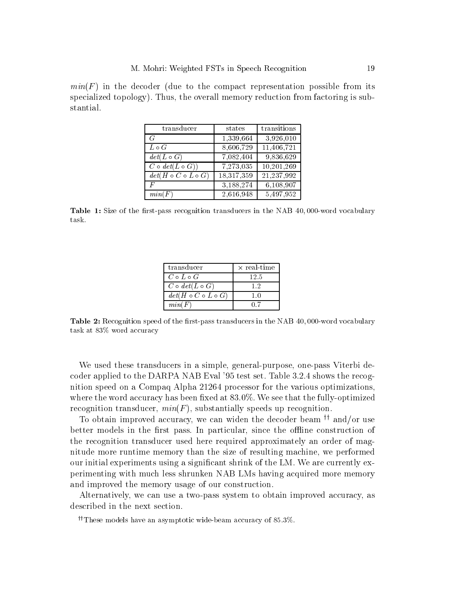$min(F)$  in the decoder (due to the compact representation possible from its -production topology, the overall memory reduction factoring is substantially and factoring in the substantial stantial.

| transducer                       | states     | transitions |
|----------------------------------|------------|-------------|
| G                                | 1,339,664  | 3,926,010   |
| $L \circ G$                      | 8,606,729  | 11,406,721  |
| $det(L \circ G)$                 | 7,082,404  | 9,836,629   |
| $C \circ det(L \circ G)$         | 7,273,035  | 10,201,269  |
| $det(H \circ C \circ L \circ G)$ | 18,317,359 | 21,237,992  |
|                                  | 3,188,274  | 6,108,907   |
| min(F)                           | 2,616,948  | 5,497,952   |

Table Size of the rstpass recognition transducers in the NAB word vocabulary task-

| transducer                       | x real time |
|----------------------------------|-------------|
| $\mathsf{C}\circ L\circ G$       | 12.5        |
| $\mid C \circ det(L \circ G)$    | 19          |
| $det(H \circ C \circ L \circ G)$ | $\Box$      |
| min(F)                           |             |

**Table 2:** Recognition speed of the mist-pass transducers in the NAD 40,000-word vocabulary task at  $83\%$  word accuracy

We used these transducers in a simple, general-purpose, one-pass Viterbi decoder applied to the DARPA NAB Eval test set- Table -- shows the recog nition speed on a Compaq Alpha 21264 processor for the various optimizations, where the word accuracy has been xed at - word at - word at - word at - word at - word at - word at - word at recognition transducer,  $min(F)$ , substantially speeds up recognition.

To obtain improved accuracy, we can widen the decoder beam  $^{\dagger \dagger}$  and/or use better models in the rst pass- In particular since the o#ine construction of the recognition transducer used here required approximately an order of mag nitude more runtime memory than the size of resulting machine, we performed our initial experiments using a signicant shrink of the LM- We are currently ex perimenting with much less shrunken NAB LMs having acquired more memory and improved the memory usage of our construction-

Alternatively, we can use a two-pass system to obtain improved accuracy, as described in the next section.

 $\cdots$  rese models have an asymptotic wide-beam accuracy of  $\circ$   $\circ$   $\cdots$   $\circ$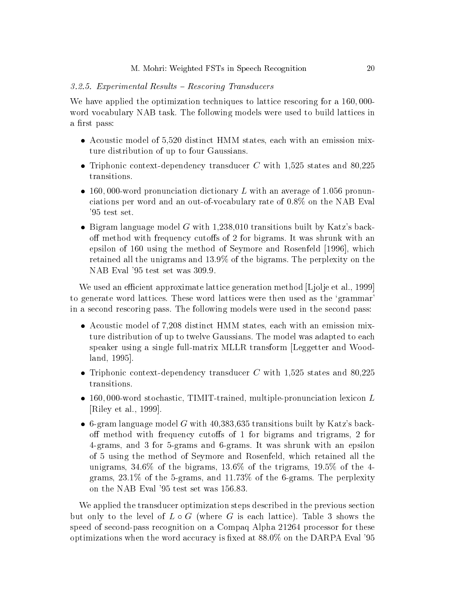# - Experimental Results Rescoring Transducers

We have applied the optimization techniques to lattice rescoring for a 160,000where  $\mathcal{U}$ a first pass:

- $\bullet$  Acoustic model of 5,520 distinct HMM states, each with an emission mixture distribution of up to four Gaussians.
- $\bullet$  Triphonic context-dependency transducer  $C$  with 1,525 states and 80,225  $\,$ transitions-
- $\bullet$  100,000-word pronunciation dictionary  $L$  with an average of 1.056 pronunciations per word and and any the NAB Evaluation of Section and and and the NAB Evaluation ' $95$  test set.
- $\bullet$  Bigram language model G with 1,238,010 transitions built by Katz's backo method with frequency cutos of  $\mathbf A$  for bigrams-dimensional with an analysis of  $\mathbf A$ epsilon of the method of Seymore of Seymore and Rose and Rose and Principal Company and Rose and Rose and Rose retained all the unigrams and -! of the bigrams- The perplexity on the

we used an economic approximate lattice generation method Ljolje et al-1 method L  $\mathbf{M}$ in a second reserve pass- reduced in the following models were used in the second passe.

- $\bullet$  Acoustic model of  $\ell,$ 208 distinct HMM states, each with an emission mixture distribution of up to twelve Gaussians-Company and was added to each property of the model was adapted to speaker using a single full-matrix MLLR transform Leggetter and Woodland -
- $\bullet$  Triphonic context-dependency transducer  $C$  with 1,525 states and 80,225  $\,$ transitions-
- $\bullet$  160,000-word stochastic, TIMIT-trained, multiple-pronunciation lexicon  $L$ Riley et al- -
- $\bullet$  b-gram language model G with 40,383,635 transitions built by Katz's backoff method with frequency cutoffs of 1 for bigrams and trigrams, 2 for  $I$  is and grams-dimensional with an epsilon  $I$  in the psilon  $I$ of 5 using the method of Seymore and Rosenfeld, which retained all the unigrams -! of the bigrams -! of the trigrams -! of the grams -! of the grams and -! of the grams- The perplexity

We applied the transducer optimization steps described in the previous section but only to the level of  $L \circ G$  (where  $G$  is each lattice). Table 3 shows the speed of second-pass recognition on a Compaq Alpha 21264 processor for these optimizations when the word accuracy is xed at -  $\mathbf{v}$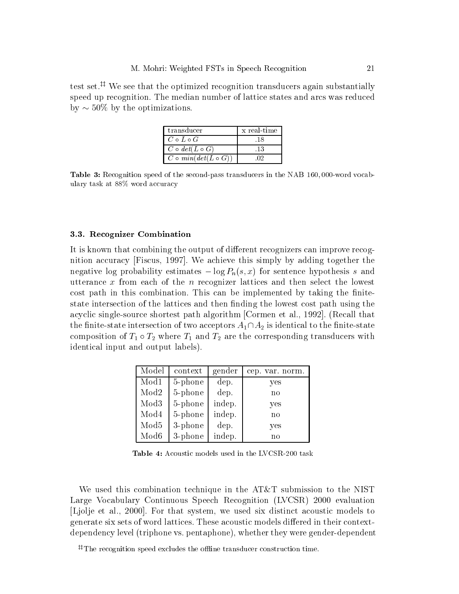test set.\*\* We see that the optimized recognition transducers again substantially recognition- The median number of the median number of lattice states and arcs was reduced and arcs was reduced by  $\sim 50\%$  by the optimizations.

| transducer                    | x real time |
|-------------------------------|-------------|
| $C \circ L \circ G$           |             |
| $C \circ det(L \circ G)$      |             |
| $C \circ min(det(L \circ G))$ |             |

**Table 3:** Recognition speed of the second-pass transducers in the NAB 100,000-word vocabulary task at  $88\%$  word accuracy

### 3.3. Recognizer Combination

It is known that combining the output of different recognizers can improve recognition accuracy Fiscus accuracy Fiscus and the simply by adding the simply by adding the simply by adding the s negative log probability estimates  $-\log P_n(s, x)$  for sentence hypothesis s and utterance  $x$  from each of the  $n$  recognizer lattices and then select the lowest cost paths in this combination- is compared by this complement  $\alpha$  is the nite of  $\alpha$ state intersection of the lattices and then finding the lowest cost path using the active shortest path algorithm Corp. In the second state of the second state of the second state of the second s the finite-state intersection of two acceptors  $A_1 \cap A_2$  is identical to the finite-state composition of  $I_1 \circ I_2$  where  $I_1$  and  $I_2$  are the corresponding transducers with identical input and output labels).

| Model            | context | gender | cep. var. norm. |
|------------------|---------|--------|-----------------|
| Mod1             | 5-phone | dep.   | yes             |
| Mod <sub>2</sub> | 5-phone | dep.   | no              |
| Mod <sub>3</sub> | 5-phone | indep. | yes             |
| Mod4             | 5-phone | indep. | no              |
| Mod <sub>5</sub> | 3-phone | dep.   | yes             |
| Mod <sub>6</sub> | 3-phone | indep. | no              |

**Table 4:** Acoustic models used in the LVCSR-200 task

We used this combination technique in the  $AT\&T$  submission to the NIST Large Vocabulary Continuous Speech Recognition (LVCSR) 2000 evaluation Ljolje et al- - For that system we used six distinct acoustic models to , and the six sets of word lattices acoustic models diered in the context of the six sets of the context of the dependency level triphone vs- pentaphone
 whether they were genderdependent

 $^{\ddagger\ddagger}$ The recognition speed excludes the offline transducer construction time.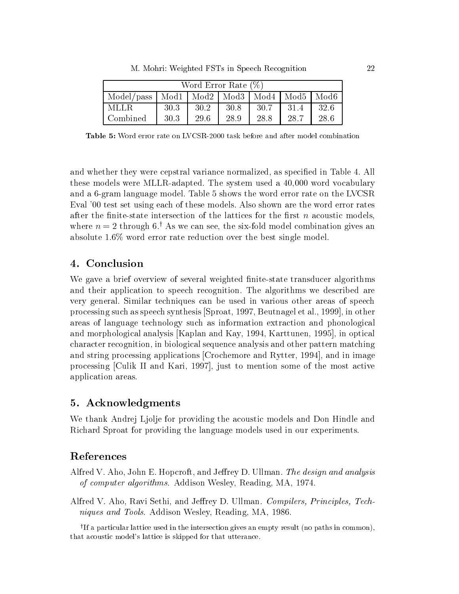| Word Error Rate $(\%)$                               |      |       |      |      |        |      |
|------------------------------------------------------|------|-------|------|------|--------|------|
| Model/pass   Mod1   Mod2   Mod3   Mod4   Mod5   Mod6 |      |       |      |      |        |      |
| <b>MLLR</b>                                          | 30.3 | -30.2 | 30.8 | 30.7 | - 31.4 | 32.6 |
| Combined                                             | 30.3 | 29.6  | 28.9 | 28.8 | -28.7  | 28.6 |

**Table 0:** Mord error rate on DVCSR-2000 (ask before and after model combination

and whether they were cepstral variance normalized as specied in Table - All these models were modelled a word vocabulary and system used a system word vocabulary words of the system of the and a gram language model- Table shows the word error rate on the LVCSR  $\mathbf M$ after the finite-state intersection of the lattices for the first n acoustic models, where  $n = 2$  through 0. As we can see, the six-fold model combination gives an absolute  $1.6\%$  word error rate reduction over the best single model.

# Conclusion

We gave a brief overview of several weighted finite-state transducer algorithms and their application to speech recognition- The algorithms we described are very general-techniques can be used in various of the use of speech areas of speech areas of speech areas of s processing such as speech synthesis Sproat Beutnagel et al- in other areas of language technology such as information extraction and phonological and morphological analysis Kaplan and Kay Karttunen in optical character recognition in biological sequence analysis and other pattern matching and string processing applications Crochemore and Rytter and in image processing Culture of the most to most activity function some of the most active in the most active of the mos application areas.

# 5. Acknowledgments

We thank Andrej Ljolje for providing the acoustic models and Don Hindle and Richard Sproat for providing the language models used in our experiments-

# References

- Alfred V- Aho John E- Hopcroft and Jerey D- Ullman- The design and analysis of computer algorithms-additional material MacCocon algorithms-
- Alfred V- Aho Ravi Sethi and Jerey D- Ullman- Compilers Principles Tech niques and Tools- Addison Wesley Reading MA -

In a particular lattice used in the intersection gives an empty result (no paths in common), The  $\,$ that acoustic model's lattice is skipped for that utterance.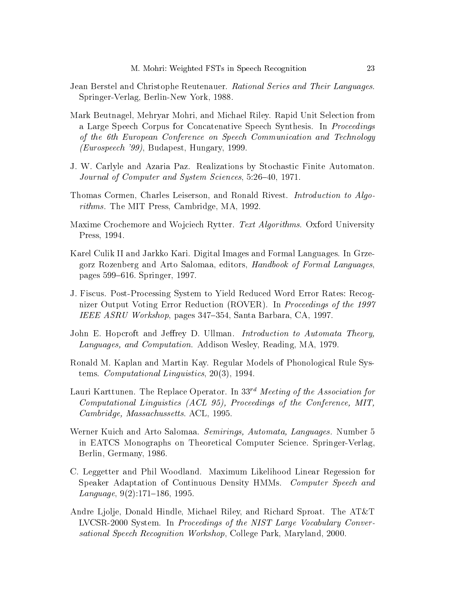- Jean Berstel and Christophe Reutenauer- Rational Series and Their Languages-Springer-Verlag, Berlin-New York, 1988.
- mark Beutnagel Mehrer Michael Richael Richael Richael Richael Michael Richael Richael Richael Richael Richael a Large Speech Corpus for Concatenative Speech Synthesis- In Proceedings of the th European Conference on Speech Communication and Technology  $(Euro speech \, '99)$ , Budapest, Hungary, 1999.
- J- W- Carlyle and Azaria Paz- Realizations by Stochastic Finite Automaton-Journal of Computer and System Sciences, 5:26-40, 1971.
- Thomas Cormen Charles Leiserson and Ronald Rivest- Introduction to Algo rithms- The MIT Press Cambridge Machinese Machinese
- Maxime Crochemore and Wo jciech Rytter- Text Algorithms- Oxford University Press, 1994.
- Karel Culik II and Jarkko Kari- Digital Images and Formal Languages- In Grze gorz Rozenberg and Arto Salomaa, editors, Handbook of Formal Languages, pages - Springer - Springer - Springer - Springer - Springer - Springer - Springer - Springer - Springer - Spr
- J- Fiscus- PostProcessing System to Yield Reduced Word Error Rates Recog nizer Output Voting Error Reduction ROVER
- In Proceedings of the IEEE ASRU Workshop, pages 347–354, Santa Barbara, CA, 1997.
- John E- Hopcroft and Jerey D- Ullman- Introduction to Automata Theory Languages and Computation- Addison Wesley Reading MA -
- Ronald M- Kaplan and Martin Kay- Regular Models of Phonological Rule Sys tems-computations of the computations of the computations of the computations of the computations of the computations of the computations of the computations of the computations of the computations of the computations of t
- Lauri Karttunen. The Replace Operator. In 55 *Meeting of the Association for*  $Computational$  Linguistics (ACL 95), Proceedings of the Conference, MIT, composed to material and the component of the set of the set of the set of the set of the set of the set of th
- werner Kuich and Arto Saloma-Arto School (1990) Functional Martingson Communication of the School (1990) of the S in EATCS Monographs on Theoretical Computer Science- SpringerVerlag Berlin, Germany, 1986.
- C- Leggetter and Phil Woodland- Maximum Likelihood Linear Regession for Speaker Adaptation of Continuous Density HMMs- Computer Speech and  $Language, 9(2):171-186, 1995.$
- Andre Ljolje Donald Hindle Michael Riley and Richard Sproat- The ATT Lycar Louis of the NIST Large Vocabulary Converse Converse Converse Converse Converse Converse Converse Converse sational Speech Recognition Workshop, College Park, Maryland, 2000.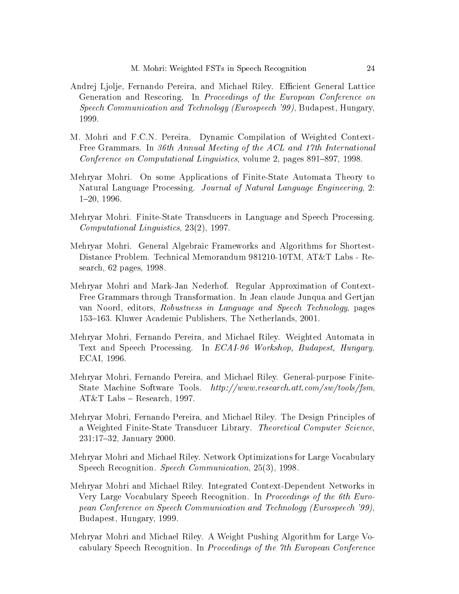- Andrej Ljolje Fernando Pereira and Michael Riley- Ecient General Lattice Generation and Resource<del>an C</del>onference of the European Conference on Conference on the European Conference on the Speech Communication and Technology (Eurospeech '99), Budapest, Hungary, 1999.
- M- Mohri and F-C-N- Pereira- Dynamic Compilation of Weighted Context Free Grammars- In th Annual Meeting of the ACL and th International Conference on Computational Linguistics, volume 2, pages  $891-897$ , 1998.
- meter are motions of a some applications of a control to the some and all the states  $\mathcal{A}$ Natural Language Processing- Journal of Natural Language Engineering  $1-20, 1996.$
- mehr ar Mohri-Christian Mohri-Christian Mohri-Christian Processing- in Language and Speech Processing- $Computational\ Linguistics, 23(2), 1997.$
- Mehryar Mohri- General Algebraic Frameworks and Algorithms for Shortest - Attentical Memorandum attention and the mamoral Memorandum  $\sim$   $\sim$   $\sim$   $\sim$   $\sim$   $\sim$   $\sim$ search,  $62$  pages,  $1998$ .
- mehr and Mohri and Markov and Markov and Markov approximation of Contexts. Free Grammars through Transformation- In Jean claude Junqua and Gertjan van Noord, editors, Robustness in Language and Speech Technology, pages - Academic Publishers The Netherlands  $\mathbf{A}$
- Mehryar Mohri Fernando Pereira and Michael Riley- Weighted Automata in <u>the state Speech Processing-But In Ecan Processing</u>-Building-But In Ecassing-Building- $ECAI$ , 1996.
- Mehryar Mohri Fernando Pereira and Michael Riley- Generalpurpose Finite State Machine Software Tools $http://www.research. att.com/sw/tools/fsm,$ AT&T Labs - Research, 1997.
- Mehryar Mohri Fernando Pereira and Michael Riley- The Design Principles of a Weighted Finites Transducer Library-Management Computer Science Library-Management Science Library- $231:17-32$ , January  $2000$
- mehred and mohring-mohring-and michael  $\mu$  . It is a parameterization of  $\mu$  , and the model  $\mu$ speech and the communication of the communication of the communication of the communication of the communication of the communication of the communication of the communication of the communication of the communication of t
- Mehryar Mohri and Michael Riley- Integrated ContextDependent Networks in very money vocabulary speech Recognition- and the extremely speech very speech model of the second second the pean Conference on Speech Communication and Technology (Eurospeech '99), Budapest, Hungary, 1999.
- mehr and Michael Richael Richard Richard Michael Richael Richael Richard Pushing Algorithm for Large Voltage V cabulary Speech Recognitions of the third in Proceedings of the the third of the the theory of the th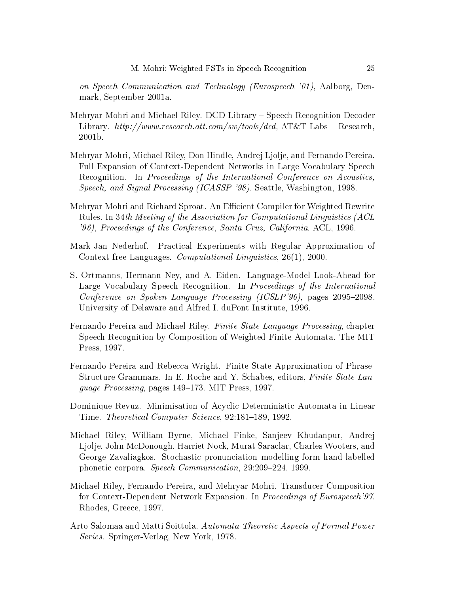on Speech Communication and Technology (Eurospeech '01), Aalborg, Denmark, September 2001a.

- $\mathcal{L}$  . The distribution of the Michael Riley-Library  $\mathcal{L}$  , we define  $\mathcal{L}$  and  $\mathcal{L}$  . The contract  $\mathcal{L}$ Library- httpwwwresearchattcomswtoolsdcd ATT Labs Research  $2001<sub>b</sub>$ .
- Mehryar Mohri, Michael Riley, Don Hindle, Andrej Ljolje, and Fernando Pereira. Full Expansion of Context-Dependent Networks in Large Vocabulary Speech recognition- In Proceedings of the Proceedings of the International Conference on Acoustics, Speech, and Signal Processing (ICASSP '98), Seattle, Washington, 1998.
- mehr an Ecient Compiler for Mohri and An Ecient Compiler for Weighted Review and Sproach Compiler for Weighted Rules- In the Meeting of the Association for Computation  $\blacksquare$  . The Association for Computational Linguistics Access  Proceedings of the Conference Santa Cruz California- ACL -
- marks a children and the experiments with regular approximation of the continuous and the continuous continuous  $\blacksquare$  . The computational Linguistics is the computational Linguistics of the computational Linguistics and Linguistics and Linguistics and Linguistics and Linguistics and Linguistics and Linguistics and Linguistics and
- S- Ortmanns Hermann Ney and A- Eiden- LanguageModel LookAhead for — In Proceeding Speech Recognition- In Proceedings of the International International International International Conference on Spoken Language Processing ICSLP pages -University of Delaware and Alfred II and Alfred II and Alfred II and Alfred II
- Fernando Pereira and Michael Riley- Finite State Language Processing chapter Speech Recognition by Composition of Weighted Finite Automata- The MIT Press, 1997.
- Finite State Approximation and Representation of Phrase Approximation of Phrase Approximation of Phrase Approximation of Phrase Approximation of Phrase Approximation of Phrase Approximation of Phrase Approximation of Phr structure Grammars- In E- 200 cm - 11 Finite Land In E-11 Finite Land In E-11 Finite State Land guage Processing pages PPC Press - Press Press - Press - Press - P
- Dominique Revuz- Minimisation of Acyclic Deterministic Automata in Linear Time- Theoretical Computer Science -
- Michael Riley, William Byrne, Michael Finke, Sanjeev Khudanpur, Andrej Ljolje, John McDonough, Harriet Nock, Murat Saraclar, Charles Wooters, and George Zavalia, stochastic pronunciation modelling form handlabelled form handlabelled form handlabelled form h phonetic corporation  $\mathcal{S}$  is a specification of the corporation of the communication of the communication of the communication of the communication of the communication of the communication of the communication of the
- Michael Riley Fernando Pereira and Mehryar Mohri- Transducer Composition for ContextDependent Network Expansion- In Proceedings of Eurospeech
-Rhodes, Greece, 1997.
- Arto Salomaa and Matti Soittola- AutomataTheoretic Aspects of Formal Power series-springer in the series of the series of the series of the series of the series of the series of the series of the series of the series of the series of the series of the series of the series of the series of the ser